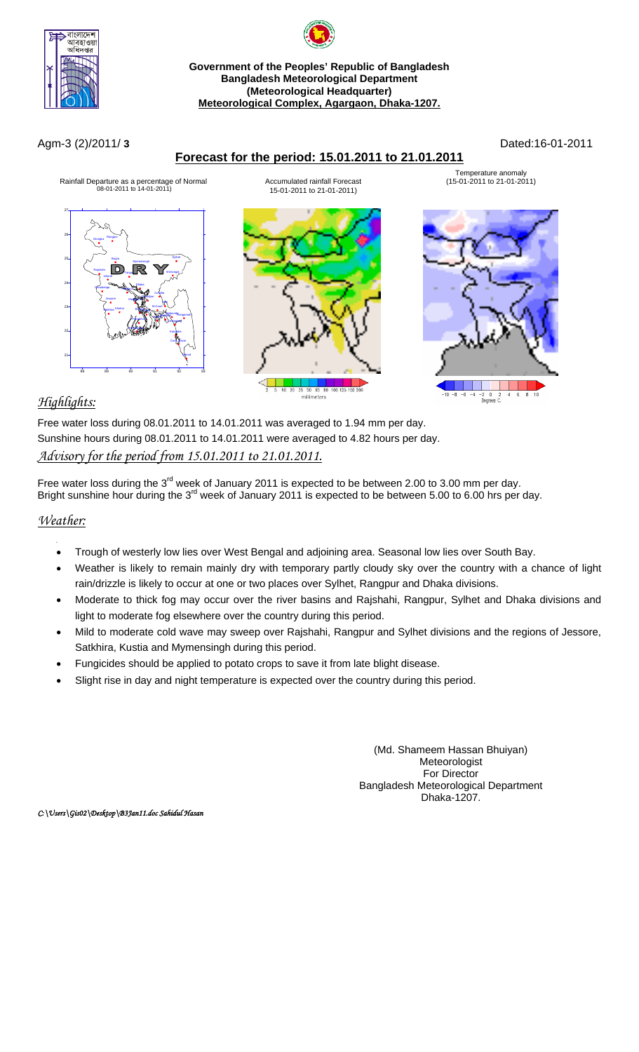

# **Government of the Peoples' Republic of Bangladesh Bangladesh Meteorological Department (Meteorological Headquarter) Meteorological Complex, Agargaon, Dhaka-1207.**

## **Forecast for the period: 15.01.2011 to 21.01.2011**

Agm-3 (2)/2011/ **3** Dated:16-01-2011



# *Highlights:*

Free water loss during 08.01.2011 to 14.01.2011 was averaged to 1.94 mm per day. Sunshine hours during 08.01.2011 to 14.01.2011 were averaged to 4.82 hours per day. *Advisory for the period from 15.01.2011 to 21.01.2011.*

Free water loss during the 3<sup>rd</sup> week of January 2011 is expected to be between 2.00 to 3.00 mm per day. Bright sunshine hour during the 3<sup>rd</sup> week of January 2011 is expected to be between 5.00 to 6.00 hrs per day.

#### *Weather:*

- Trough of westerly low lies over West Bengal and adjoining area. Seasonal low lies over South Bay.
- Weather is likely to remain mainly dry with temporary partly cloudy sky over the country with a chance of light rain/drizzle is likely to occur at one or two places over Sylhet, Rangpur and Dhaka divisions.
- Moderate to thick fog may occur over the river basins and Rajshahi, Rangpur, Sylhet and Dhaka divisions and light to moderate fog elsewhere over the country during this period.
- Mild to moderate cold wave may sweep over Rajshahi, Rangpur and Sylhet divisions and the regions of Jessore, Satkhira, Kustia and Mymensingh during this period.
- Fungicides should be applied to potato crops to save it from late blight disease.
- Slight rise in day and night temperature is expected over the country during this period.

(Md. Shameem Hassan Bhuiyan) Meteorologist For Director Bangladesh Meteorological Department Dhaka-1207.

*C:\Users\Gis02\Desktop\B3Jan11.doc Sahidul Hasan*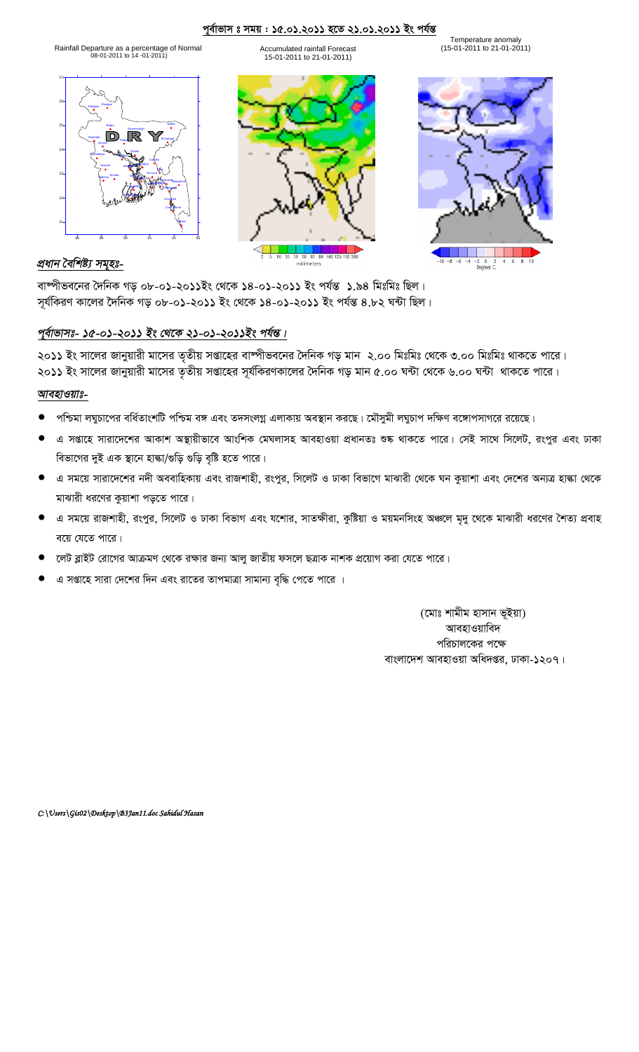#### <u>পূৰ্বাভাস ঃ সময় : ১৫.০১.২০১১ হতে ২১.০১.২০১১ ইং পৰ্যন্ত</u>

Accumulated rainfall Forecast 15-01-2011 to 21-01-2011)

Rainfall Departure as a percentage f Normal o (15-01-2011 to 21-01-2011) 08-01-2011 to 14 -01-2011)

21 22 23 24 25 26 27 Rangpur Dhaka Mymensingh Faridpur Madaripur Tangail Chittagong Sitakunda<sub>kangamati</sub> Coxs\_Bazar Teknaf HatiyaSandwip Kutubdia Feni M.Court Chandpur Comilla Sylhet Rajshahi | **Martia Rajshahi | Martia Rajshahi | Martia Rajshahi | Srimongal** Bogra Dinajpur Ishurdi Chuadanga Khulna Jessore Satkhira Barisala Patuakhali Khepupara

88 89 90 91 92 93





 $-2$  0  $2$ <br>Degrees C.

 $4\quad 6\quad 8$ 

 $-10 - 8 - 6 - 4$ 

## *প্ৰধান বৈশিষ্ট্য সমুহঃ-*

বাষ্পীভবনের দৈনিক গড় ০৮-০১-২০১১ইং থেকে ১৪-০১-২০১১ ইং পর্যন্ত ১.৯৪ মিঃমিঃ ছিল। সূর্যকিরণ কালের দৈনিক গড় ০৮-০১-২০১১ ইং থেকে ১৪-০১-২০১১ ইং পর্যন্ত ৪.৮২ ঘন্টা ছিল।

# পূৰ্বাভাসঃ- ১৫-০১-২০১১ ইং থেকে ২১-০১-২০১১ইং পৰ্যন্ত।

২০১১ ইং সালের জানুয়ারী মাসের তৃতীয় সপ্তাহের বাষ্পীভবনের দৈনিক গড় মান ২.০০ মিঃমিঃ থেকে ৩.০০ মিঃমিঃ থাকতে পারে। ২০১১ ইং সালের জানুয়ারী মাসের তৃতীয় সপ্তাহের সূর্যকিরণকালের দৈনিক গড় মান ৫.০০ ঘন্টা থেকে ৬.০০ ঘন্টা থাকতে পারে।

### *আবহাওয়াঃ-*

- পশ্চিমা লঘুচাপের বর্ধিতাংশটি পশ্চিম বঙ্গ এবং তদসংলগ্ন এলাকায় অবস্থান করছে। মৌসুমী লঘুচাপ দক্ষিণ বঙ্গোপসাগরে রয়েছে।
- এ সপ্তাহে সারাদেশের আকাশ অস্থায়ীভাবে আংশিক মেঘলাসহ আবহাওয়া প্রধানতঃ শুষ্ক থাকতে পারে। সেই সাথে সিলেট, রংপুর এবং ঢাকা বিভাগের দুই এক স্থানে হাঙ্কা/গুড়ি গুড়ি বৃষ্টি হতে পারে।
- এ সময়ে সারাদেশের নদী অববাহিকায় এবং রাজশাহী, রংপুর, সিলেট ও ঢাকা বিভাগে মাঝারী থেকে ঘন কুয়াশা এবং দেশের অন্যত্র হাল্কা থেকে মাঝারী ধরণের কুয়াশা পড়তে পারে।
- এ সময়ে রাজশাহী, রংপুর, সিলেট ও ঢাকা বিভাগ এবং যশোর, সাতক্ষীরা, কুষ্টিয়া ও ময়মনসিংহ অঞ্চলে মৃদু থেকে মাঝারী ধরণের শৈত্য প্রবাহ বয়ে যেতে পারে।
- লেট ব্লাইট রোগের আক্রমণ থেকে রক্ষার জন্য আলু জাতীয় ফসলে ছত্রাক নাশক প্রয়োগ করা যেতে পারে।
- এ সপ্তাহে সারা দেশের দিন এবং রাতের তাপমাত্রা সামান্য বৃদ্ধি পেতে পারে ।

(মোঃ শামীম হাসান ভূইয়া) আবহাওয়াবিদ পরিচালকের পক্ষে বাংলাদেশ আবহাওয়া অধিদপ্তর, ঢাকা-১২০৭।

*C:\Users\Gis02\Desktop\B3Jan11.doc Sahidul Hasan*